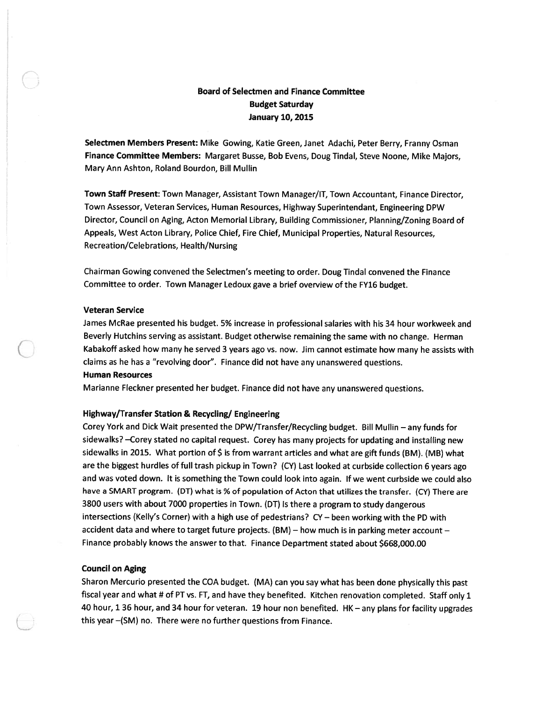# Board of Selectmen and Finance Committee Budget Saturday January 10, 2015

Selectmen Members Present: Mike Gowing, Katie Green, Janet Adachi, Peter Berry, Franny Osman Finance Committee Members: Margaret Busse, Bob Evens, Doug Tindal, Steve Noone, Mike Majors, Mary Ann Ashton, Roland Bourdon, Bill Mullin

Town Staff Present: Town Manager, Assistant Town Manager/IT, Town Accountant, Finance Director, Town Assessor, Veteran Services, Human Resources, Highway Superintendant, Engineering DPW Director, Council on Aging, Acton Memorial Library, Building Commissioner, Planning/Zoning Board of Appeals, West Acton Library, Police Chief, Fire Chief, Municipal Properties, Natural Resources, Recreation/Celebrations, Health/Nursing

Chairman Gowing convened the Selectmen's meeting to order. Doug Tindal convened the Finance Committee to order. Town Manager Ledoux gave <sup>a</sup> brief overview of the FY16 budget.

### Veteran Service

James McRae presented his budget. 5% increase in professional salaries with his 34 hour workweek and Beverly Hutchins serving as assistant. Budget otherwise remaining the same with no change. Herman Kabakoff asked how many he served <sup>3</sup> years ago vs. now. Jim cannot estimate how many he assists with claims as he has <sup>a</sup> "revolving door". Finance did not have any unanswered questions.

## Human Resources

Marianne Fleckner presented her budget. Finance did not have any unanswered questions.

## Highway/Transfer Station & Recycling/ Engineering

Corey York and Dick Wait presented the DPW/Transfer/Recycling budget. Bill Mullin — any funds for sidewalks? —Corey stated no capital request. Corey has many projects for updating and installing new sidewalks in 2015. What portion of \$ is from warrant articles and what are gift funds (BM). (MB) what are the biggest hurdles of full trash <sup>p</sup>ickup in Town? (CY) Last looked at curbside collection <sup>6</sup> years ago and was voted down. It is something the Town could look into again. If we went curbside we could also have <sup>a</sup> SMART program. (DT) what is % of population of Acton that utilizes the transfer. (CV) There are <sup>3800</sup> users with about <sup>7000</sup> properties in Town. (DT) Is there <sup>a</sup> program to study dangerous intersections (Kelly's Corner) with <sup>a</sup> high use of pedestrians? CV — been working with the PD with accident data and where to target future projects. (BM) – how much is in parking meter account – Finance probably knows the answer to that. Finance Department stated about \$668,000.00

## Council on Aging

Sharon Mercurio presented the COA budget. (MA) can you say what has been done <sup>p</sup>hysically this pas<sup>t</sup> fiscal year and what # of PT vs. FT, and have they benefited. Kitchen renovation completed. Staff only <sup>1</sup> <sup>40</sup> hour, <sup>1</sup> <sup>36</sup> hour, and <sup>34</sup> hour for veteran. <sup>19</sup> hour non benefited. HK — any <sup>p</sup>lans for facility upgrades this year —(SM) no. There were no further questions from Finance.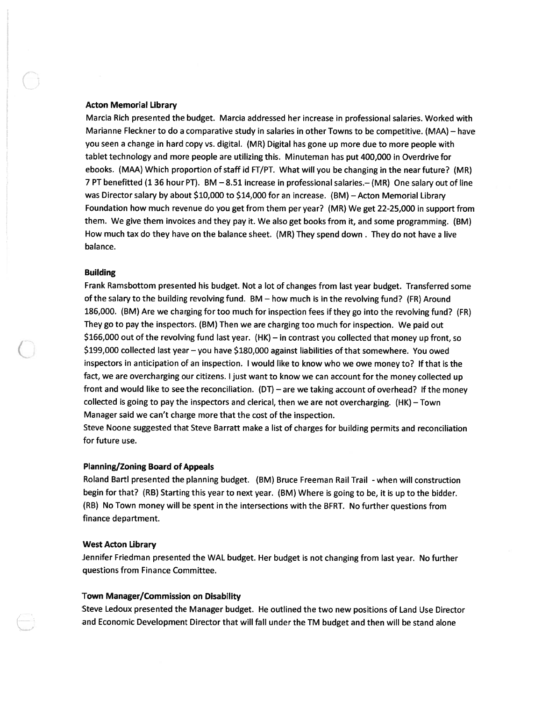### Acton Memorial Library

C

Marcia Rich presented the budget. Marcia addressed her increase in professional salaries. Worked with Marianne Fleckner to do <sup>a</sup> comparative study in salaries in other Towns to be competitive. (MAA) — have you seen <sup>a</sup> change in hard copy vs. digital. (MR) Digital has gone up more due to more people with tablet technology and more people are utilizing this. Minuteman has pu<sup>t</sup> 400,000 in Overdrive for ebooks. (MAA) Which proportion of staff id FT/PT. What will you be changing in the near future? (MR) 7 PT benefitted (1 36 hour PT). BM —8.51 increase in professional salaries.— (MR) One salary out of line was Director salary by about \$10,000 to \$14,000 for an increase. (BM) — Acton Memorial Library Foundation how much revenue do you ge<sup>t</sup> from them per year? (MR) We ge<sup>t</sup> 22-25,000 in suppor<sup>t</sup> from them. We <sup>g</sup>ive them invoices and they pay it. We also ge<sup>t</sup> books from it, and some programming. (BM) How much tax do they have on the balance sheet. (MR) They spend down . They do not have <sup>a</sup> live balance.

## Building

Frank Ramsbottom presented his budget. Not <sup>a</sup> lot of changes from last year budget. Transferred some of the salary to the building revolving fund. BM — how much is in the revolving fund? (FR) Around 186,000. (BM) Are we charging for too much for inspection fees if they go into the revolving fund? (FR) They go to pay the inspectors. (BM) Then we are charging too much for inspection. We paid out \$166,000 out of the revolving fund last year. (HK) — in contrast you collected that money up front, so \$199,000 collected last year — you have \$180,000 against liabilities of that somewhere. You owed inspectors in anticipation of an inspection. <sup>I</sup> would like to know who we owe money to? If that is the fact, we are overcharging our citizens. <sup>I</sup> just want to know we can account for the money collected up front and would like to see the reconciliation. (DT) — are we taking account of overhead? If the money collected is going to pay the inspectors and clerical, then we are not overcharging. (HK) — Town Manager said we can't charge more that the cost of the inspection.

Steve Noone suggested that Steve Barratt make <sup>a</sup> list of charges for building permits and reconciliation for future use.

## Planning/Zoning Board of Appeals

Roland Bartl presented the planning budget. (BM) Bruce Freeman Rail Trail - when will construction begin for that? (RB) Starting this year to next year. (BM) Where is going to be, it is up to the bidder. (RB) No Town money will be spen<sup>t</sup> in the intersections with the BFRT. No further questions from finance department.

## West Acton Library

Jennifer Friedman presented the WAL budget. Her budget is not changing from last year. No further questions from Finance Committee.

#### Town Manager/Commission on Disability

Steve Ledoux presented the Manager budget. He outlined the two new positions of Land Use Director and Economic Development Director that will fall under the TM budget and then will be stand alone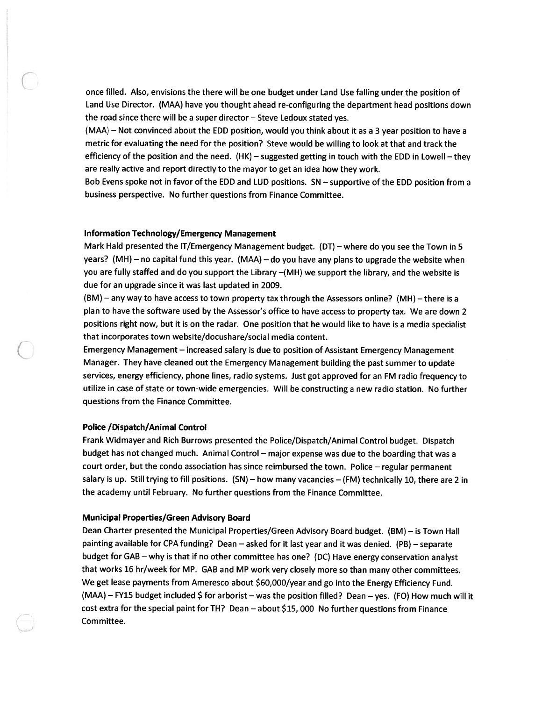once filled. Also, envisions the there will be one budget under Land Use falling under the position of Land Use Director. (MAA) have you thought ahead re-configuring the department head positions down the road since there will be <sup>a</sup> super director — Steve Ledoux stated yes.

(MAA) — Not convinced about the EDD position, would you think about it as <sup>a</sup> 3 year position to have <sup>a</sup> metric for evaluating the need for the position? Steve would be willing to look at that and track the efficiency of the position and the need. (HK) — suggested getting in touch with the EDD in Lowell — they are really active and repor<sup>t</sup> directly to the mayor to ge<sup>t</sup> an idea how they work.

Bob Evens spoke not in favor of the EDD and LUD positions. SN — supportive of the EDD position from <sup>a</sup> business perspective. No further questions from Finance Committee.

## Information Technology/Emergency Management

Mark Hald presented the IT/Emergency Management budget. (DT) — where do you see the Town in 5 years? (MH) — no capital fund this year. (MAA) — do you have any <sup>p</sup>lans to upgrade the website when you are fully staffed and do you suppor<sup>t</sup> the Library —(MH) we suppor<sup>t</sup> the library, and the website is due for an upgrade since it was last updated in 2009.

(BM) — any way to have access to town property tax through the Assessors online? (MH) — there is <sup>a</sup> <sup>p</sup>lan to have the software used by the Assessor's office to have access to property tax. We are down <sup>2</sup> positions right now, but it is on the radar. One position that he would like to have is <sup>a</sup> media specialist that incorporates town website/docushare/social media content.

Emergency Management — increased salary is due to position of Assistant Emergency Management Manager. They have cleaned out the Emergency Management building the pas<sup>t</sup> summer to update services, energy efficiency, <sup>p</sup>hone lines, radio systems. Just go<sup>t</sup> approved for an FM radio frequency to utilize in case of state or town-wide emergencies. Will be constructing <sup>a</sup> new radio station. No further questions from the Finance Committee.

#### Police /Dispatch/Animal Control

Frank Widmayer and Rich Burrows presented the Police/Dispatch/Animal Control budget. Dispatch budget has not changed much. Animal Control — major expense was due to the boarding that was <sup>a</sup> court order, but the condo association has since reimbursed the town. Police — regular permanen<sup>t</sup> salary is up. Still trying to fill positions. (SN) — how many vacancies — (FM) technically 10, there are <sup>2</sup> in the academy until February. No further questions from the Finance Committee.

#### Municipal Properties/Green Advisory Board

Dean Charter presented the Municipal Properties/Green Advisory Board budget. (BM) — is Town Hall painting available for CPA funding? Dean — asked for it last year and it was denied. (PB) — separate budget for GAB — why is that if no other committee has one? (DC) Have energy conservation analyst that works <sup>16</sup> hr/week for MP. GAB and MP work very closely more so than many other committees. We ge<sup>t</sup> lease payments from Ameresco about \$60,000/year and go into the Energy Efficiency Fund. (MAA) — FY15 budget included \$ for arborist — was the position filled? Dean — yes. (FO) How much will it cost extra for the special paint for TH? Dean — about \$15, 000 No further questions from Finance Committee.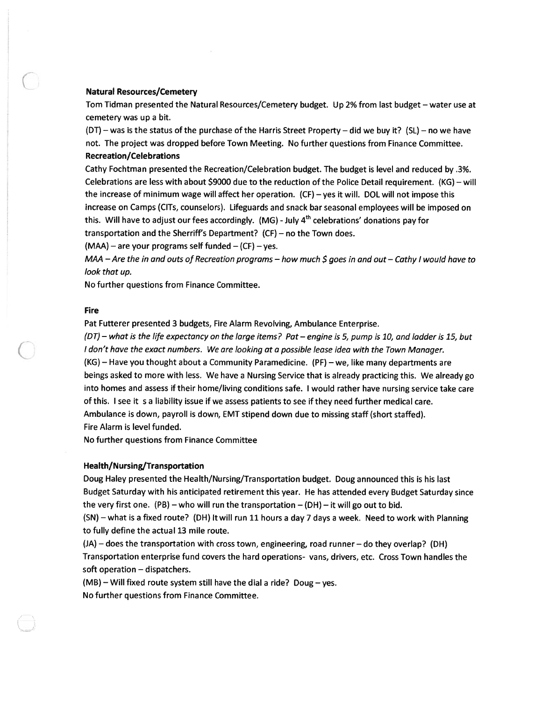## Natural Resources/Cemetery

Tom Tidman presented the Natural Resources/Cemetery budget. Up 2% from last budget — water use at cemetery was up <sup>a</sup> bit.

(DT) — was is the status of the purchase of the Harris Street Property — did we buy it? (SL) — no we have not. The project was dropped before Town Meeting. No further questions from Finance Committee. Recreation/Celebrations

Cathy Fochtman presented the Recreation/Celebration budget. The budget is level and reduced by .3%. Celebrations are less with about \$9000 due to the reduction of the Police Detail requirement. (KG) — will the increase of minimum wage will affect her operation. (CF) — yes it will. DOL will not impose this increase on Camps (CITs, counselors). Lifeguards and snack bar seasonal employees will be imposed on this. Will have to adjust our fees accordingly.  $(MG)$  - July  $4<sup>th</sup>$  celebrations' donations pay for transportation and the Sherriff's Department? (CF) — no the Town does.

 $(MAA)$  – are your programs self funded –  $(CF)$  – yes.

 $MAA - Are the in and cuts of Receration programs – how much  $\xi$  goes in and out – Cathy I would have to$ look that up.

No further questions from Finance Committee.

## Fire

Pat Futterer presented 3 budgets, Fire Alarm Revolving, Ambulance Enterprise.

(DT) — what is the life expectancy on the large items? Pat — engine is 5, pump is 10, and ladder is 15, but I don't have the exact numbers. We are looking at <sup>a</sup> possible lease idea with the Town Manager.

(KG)— Have you thought about <sup>a</sup> Community Paramedicine. (PF) —we, like many departments are beings asked to more with less. We have <sup>a</sup> Nursing Service that is already practicing this. We already go into homes and assess if their home/living conditions safe. <sup>I</sup> would rather have nursing service take care of this. <sup>I</sup> see it <sup>s</sup> <sup>a</sup> liability issue if we assess patients to see if they need further medical care. Ambulance is down, payroll is down, EMT stipend down due to missing staff (short staffed).

Fire Alarm is level funded.

No further questions from Finance Committee

## Health/Nursing/Transportation

Doug Haley presented the Health/Nursing/Transportation budget. Doug announced this is his last Budget Saturday with his anticipated retirement this year. He has attended every Budget Saturday since the very first one. (PB) – who will run the transportation – (DH) – it will go out to bid.

(SN) — what is <sup>a</sup> fixed route? (DH) It will run 11 hours <sup>a</sup> day <sup>7</sup> days <sup>a</sup> week. Need to work with Planning to fully define the actual 13 mile route.

(JA) — does the transportation with cross town, engineering, road runner — do they overlap? (DH) Transportation enterprise fund covers the hard operations- vans, drivers, etc. Cross Town handles the soft operation — dispatchers.

 $(MB)$  – Will fixed route system still have the dial a ride? Doug – yes. No further questions from Finance Committee.